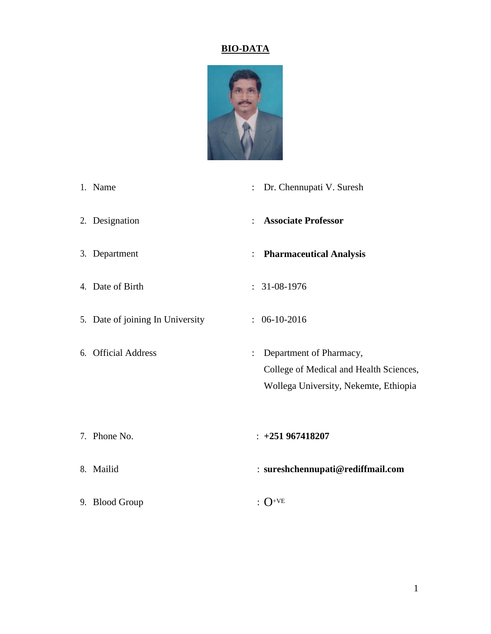## **BIO-DATA**



- 1. Name : Dr. Chennupati V. Suresh
- 2. Designation : **Associate Professor**
- 
- 
- 5. Date of joining In University : 06-10-2016
- 
- 3. Department : **Pharmaceutical Analysis**
- 4. Date of Birth : 31-08-1976
	-
- 6. Official Address : Department of Pharmacy, College of Medical and Health Sciences, Wollega University, Nekemte, Ethiopia
- 7. Phone No. : **+251 967418207**
- 8. Mailid : **sureshchennupati@rediffmail.com**
- 9. Blood Group  $\cdot$  O<sup>+VE</sup>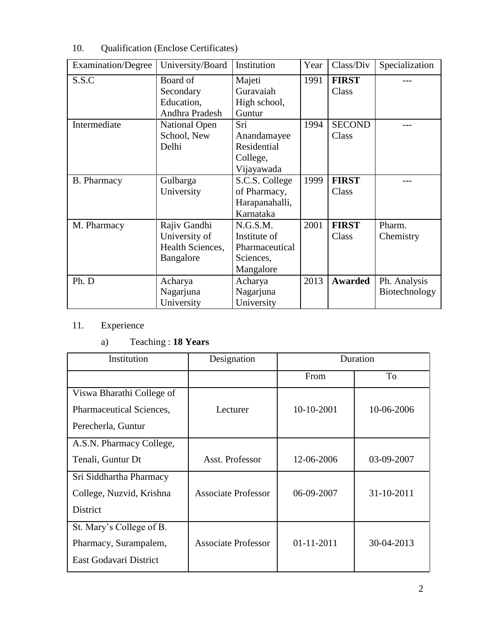| <b>Examination/Degree</b> | University/Board                                               | Institution                                                          | Year | Class/Div              | Specialization                |
|---------------------------|----------------------------------------------------------------|----------------------------------------------------------------------|------|------------------------|-------------------------------|
| S.S.C                     | Board of<br>Secondary<br>Education,<br>Andhra Pradesh          | Majeti<br>Guravaiah<br>High school,<br>Guntur                        | 1991 | <b>FIRST</b><br>Class  |                               |
| Intermediate              | <b>National Open</b><br>School, New<br>Delhi                   | Sri<br>Anandamayee<br>Residential<br>College,<br>Vijayawada          | 1994 | <b>SECOND</b><br>Class |                               |
| <b>B.</b> Pharmacy        | Gulbarga<br>University                                         | S.C.S. College<br>of Pharmacy,<br>Harapanahalli,<br>Karnataka        | 1999 | <b>FIRST</b><br>Class  |                               |
| M. Pharmacy               | Rajiv Gandhi<br>University of<br>Health Sciences,<br>Bangalore | N.G.S.M.<br>Institute of<br>Pharmaceutical<br>Sciences,<br>Mangalore | 2001 | <b>FIRST</b><br>Class  | Pharm.<br>Chemistry           |
| Ph. D                     | Acharya<br>Nagarjuna<br>University                             | Acharya<br>Nagarjuna<br>University                                   | 2013 | <b>Awarded</b>         | Ph. Analysis<br>Biotechnology |

10. Qualification (Enclose Certificates)

# 11. Experience

# a) Teaching : **18 Years**

| Institution               | Designation                | Duration         |            |
|---------------------------|----------------------------|------------------|------------|
|                           |                            | From             | To         |
| Viswa Bharathi College of |                            |                  |            |
| Pharmaceutical Sciences,  | Lecturer                   | 10-10-2001       | 10-06-2006 |
| Perecherla, Guntur        |                            |                  |            |
| A.S.N. Pharmacy College,  |                            |                  |            |
| Tenali, Guntur Dt         | Asst. Professor            | 12-06-2006       | 03-09-2007 |
| Sri Siddhartha Pharmacy   |                            |                  |            |
| College, Nuzvid, Krishna  | <b>Associate Professor</b> | 06-09-2007       | 31-10-2011 |
| <b>District</b>           |                            |                  |            |
| St. Mary's College of B.  |                            |                  |            |
| Pharmacy, Surampalem,     | <b>Associate Professor</b> | $01 - 11 - 2011$ | 30-04-2013 |
| East Godavari District    |                            |                  |            |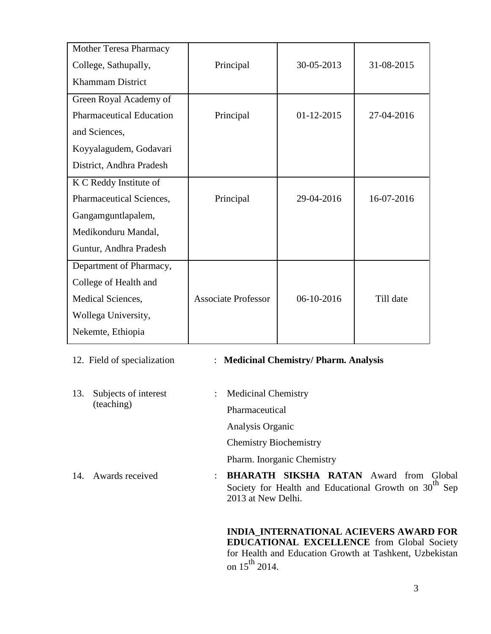| Mother Teresa Pharmacy          |                            |              |            |
|---------------------------------|----------------------------|--------------|------------|
| College, Sathupally,            | Principal                  | 30-05-2013   | 31-08-2015 |
| <b>Khammam District</b>         |                            |              |            |
| Green Royal Academy of          |                            |              |            |
| <b>Pharmaceutical Education</b> | Principal                  | $01-12-2015$ | 27-04-2016 |
| and Sciences,                   |                            |              |            |
| Koyyalagudem, Godavari          |                            |              |            |
| District, Andhra Pradesh        |                            |              |            |
| K C Reddy Institute of          |                            |              |            |
| Pharmaceutical Sciences,        | Principal                  | 29-04-2016   | 16-07-2016 |
| Gangamguntlapalem,              |                            |              |            |
| Medikonduru Mandal,             |                            |              |            |
| Guntur, Andhra Pradesh          |                            |              |            |
| Department of Pharmacy,         |                            |              |            |
| College of Health and           |                            |              |            |
| Medical Sciences,               | <b>Associate Professor</b> | 06-10-2016   | Till date  |
| Wollega University,             |                            |              |            |
| Nekemte, Ethiopia               |                            |              |            |

13. Subjects of interest (teaching)

## 12. Field of specialization : **Medicinal Chemistry/ Pharm. Analysis**

: Medicinal Chemistry

Pharmaceutical

Analysis Organic

Chemistry Biochemistry

Pharm. Inorganic Chemistry

14. Awards received : **BHARATH SIKSHA RATAN** Award from Global Society for Health and Educational Growth on 30<sup>th</sup> Sep 2013 at New Delhi.

> **INDIA\_INTERNATIONAL ACIEVERS AWARD FOR EDUCATIONAL EXCELLENCE** from Global Society for Health and Education Growth at Tashkent, Uzbekistan on  $15^{th}$  2014.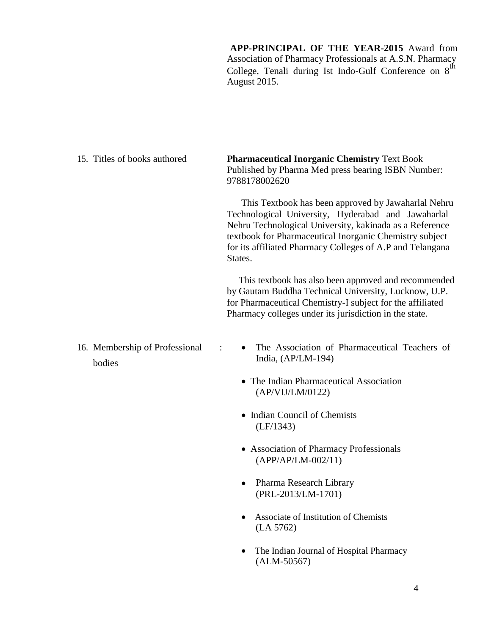**APP-PRINCIPAL OF THE YEAR-2015** Award from Association of Pharmacy Professionals at A.S.N. Pharmacy College, Tenali during Ist Indo-Gulf Conference on  $8^{th}$ August 2015.

| 15. Titles of books authored             | <b>Pharmaceutical Inorganic Chemistry Text Book</b><br>Published by Pharma Med press bearing ISBN Number:<br>9788178002620                                                                                                                                                                              |
|------------------------------------------|---------------------------------------------------------------------------------------------------------------------------------------------------------------------------------------------------------------------------------------------------------------------------------------------------------|
|                                          | This Textbook has been approved by Jawaharlal Nehru<br>Technological University, Hyderabad and Jawaharlal<br>Nehru Technological University, kakinada as a Reference<br>textbook for Pharmaceutical Inorganic Chemistry subject<br>for its affiliated Pharmacy Colleges of A.P and Telangana<br>States. |
|                                          | This textbook has also been approved and recommended<br>by Gautam Buddha Technical University, Lucknow, U.P.<br>for Pharmaceutical Chemistry-I subject for the affiliated<br>Pharmacy colleges under its jurisdiction in the state.                                                                     |
| 16. Membership of Professional<br>bodies | The Association of Pharmaceutical Teachers of<br>India, $(AP/LM-194)$                                                                                                                                                                                                                                   |
|                                          | • The Indian Pharmaceutical Association<br>(AP/VIJ/LM/0122)                                                                                                                                                                                                                                             |
|                                          | • Indian Council of Chemists<br>(LF/1343)                                                                                                                                                                                                                                                               |
|                                          | • Association of Pharmacy Professionals<br>(APP/AP/LM-002/11)                                                                                                                                                                                                                                           |
|                                          | Pharma Research Library<br>$\bullet$<br>(PRL-2013/LM-1701)                                                                                                                                                                                                                                              |
|                                          | Associate of Institution of Chemists<br>$\bullet$<br>(LA 5762)                                                                                                                                                                                                                                          |
|                                          | The Indian Journal of Hospital Pharmacy<br>$(ALM-50567)$                                                                                                                                                                                                                                                |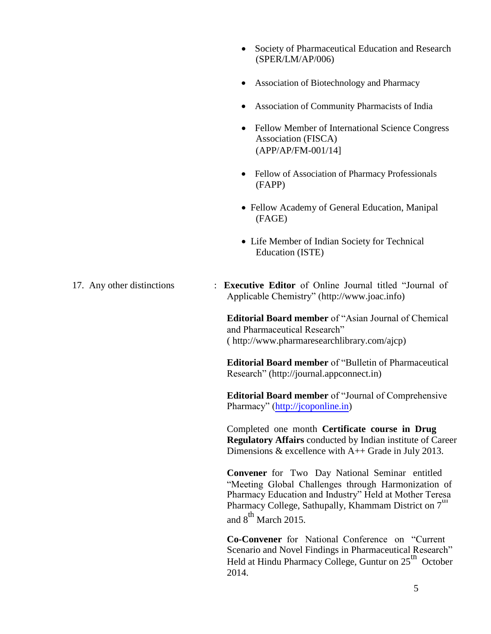- Society of Pharmaceutical Education and Research (SPER/LM/AP/006)
- Association of Biotechnology and Pharmacy
- Association of Community Pharmacists of India
- Fellow Member of International Science Congress Association (FISCA) (APP/AP/FM-001/14]
- Fellow of Association of Pharmacy Professionals (FAPP)
- Fellow Academy of General Education, Manipal (FAGE)
- Life Member of Indian Society for Technical Education (ISTE)
- 17. Any other distinctions : **Executive Editor** of Online Journal titled "Journal of Applicable Chemistry" [\(http://www.joac.info\)](http://www.joac.info/)

**Editorial Board member** of "Asian Journal of Chemical and Pharmaceutical Research" ( [http://www.pharmaresearchlibrary.com/ajcp\)](http://www.pharmaresearchlibrary.com/ajcpr/)

**Editorial Board member** of "Bulletin of Pharmaceutical Research" [\(http://journal.appconnect.in\)](http://journal.appconnect.in/)

**Editorial Board member** of "Journal of Comprehensive Pharmacy" [\(http://jcoponline.in\)](http://jcoponline.in/)

Completed one month **Certificate course in Drug Regulatory Affairs** conducted by Indian institute of Career Dimensions  $&$  excellence with A++ Grade in July 2013.

**Convener** for Two Day National Seminar entitled "Meeting Global Challenges through Harmonization of Pharmacy Education and Industry" Held at Mother Teresa Pharmacy College, Sathupally, Khammam District on  $7<sup>th</sup>$ and  $8^{th}$  March 2015.

**Co-Convener** for National Conference on "Current Scenario and Novel Findings in Pharmaceutical Research" Held at Hindu Pharmacy College, Guntur on 25<sup>th</sup> October 2014.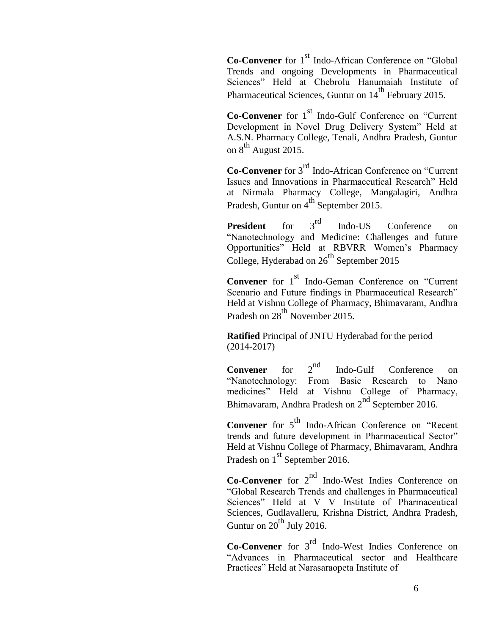**Co-Convener** for 1<sup>st</sup> Indo-African Conference on "Global" Trends and ongoing Developments in Pharmaceutical Sciences" Held at Chebrolu Hanumaiah Institute of Pharmaceutical Sciences, Guntur on  $14<sup>th</sup>$  February 2015.

**Co-Convener** for 1<sup>st</sup> Indo-Gulf Conference on "Current" Development in Novel Drug Delivery System" Held at A.S.N. Pharmacy College, Tenali, Andhra Pradesh, Guntur on  $8^{th}$  August 2015.

**Co-Convener** for 3rd Indo-African Conference on "Current Issues and Innovations in Pharmaceutical Research" Held at Nirmala Pharmacy College, Mangalagiri, Andhra Pradesh, Guntur on  $4^{th}$  September 2015.

**President** for 3<sup>rd</sup> Indo-US Conference on "Nanotechnology and Medicine: Challenges and future Opportunities" Held at RBVRR Women's Pharmacy College, Hyderabad on  $26<sup>th</sup>$  September 2015

**Convener** for 1<sup>st</sup> Indo-Geman Conference on "Current" Scenario and Future findings in Pharmaceutical Research" Held at Vishnu College of Pharmacy, Bhimavaram, Andhra Pradesh on 28<sup>th</sup> November 2015.

**Ratified** Principal of JNTU Hyderabad for the period (2014-2017)

**Convener** for 2<sup>nd</sup> Indo-Gulf Conference on "Nanotechnology: From Basic Research to Nano medicines" Held at Vishnu College of Pharmacy, Bhimavaram, Andhra Pradesh on  $2<sup>nd</sup>$  September 2016.

**Convener** for 5<sup>th</sup> Indo-African Conference on "Recent" trends and future development in Pharmaceutical Sector" Held at Vishnu College of Pharmacy, Bhimavaram, Andhra Pradesh on 1<sup>st</sup> September 2016.

**Co-Convener** for 2<sup>nd</sup> Indo-West Indies Conference on "Global Research Trends and challenges in Pharmaceutical Sciences" Held at V V Institute of Pharmaceutical Sciences, Gudlavalleru, Krishna District, Andhra Pradesh, Guntur on  $20^{th}$  July 2016.

**Co-Convener** for 3rd Indo-West Indies Conference on "Advances in Pharmaceutical sector and Healthcare Practices" Held at Narasaraopeta Institute of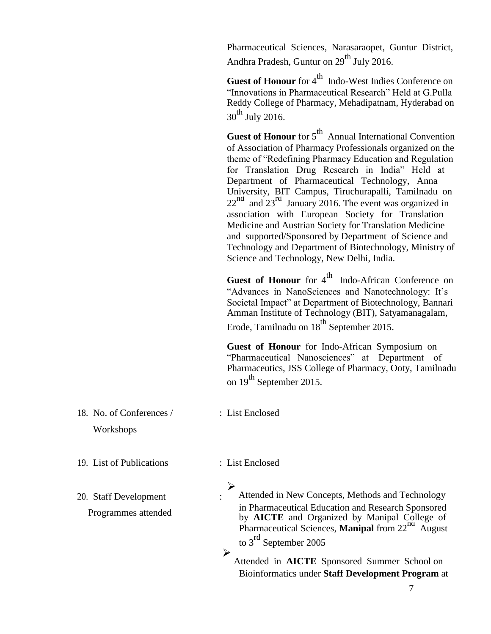Pharmaceutical Sciences, Narasaraopet, Guntur District, Andhra Pradesh, Guntur on  $29^{th}$  July 2016.

Guest of Honour for 4<sup>th</sup> Indo-West Indies Conference on "Innovations in Pharmaceutical Research" Held at G.Pulla Reddy College of Pharmacy, Mehadipatnam, Hyderabad on  $30^{th}$  July 2016.

**Guest of Honour** for 5<sup>th</sup> Annual International Convention of Association of Pharmacy Professionals organized on the theme of "Redefining Pharmacy Education and Regulation for Translation Drug Research in India" Held at Department of Pharmaceutical Technology, Anna University, BIT Campus, Tiruchurapalli, Tamilnadu on  $22<sup>nd</sup>$  and  $23<sup>rd</sup>$  January 2016. The event was organized in association with European Society for Translation Medicine and Austrian Society for Translation Medicine and supported/Sponsored by Department of Science and Technology and Department of Biotechnology, Ministry of Science and Technology, New Delhi, India.

Guest of Honour for 4<sup>th</sup> Indo-African Conference on "Advances in NanoSciences and Nanotechnology: It's Societal Impact" at Department of Biotechnology, Bannari Amman Institute of Technology (BIT), Satyamanagalam, Erode, Tamilnadu on  $18^{th}$  September 2015.

**Guest of Honour** for Indo-African Symposium on "Pharmaceutical Nanosciences" at Department of Pharmaceutics, JSS College of Pharmacy, Ooty, Tamilnadu on  $19^{th}$  September 2015.

18. No. of Conferences / : List Enclosed Workshops

19. List of Publications : List Enclosed

 $\blacktriangleright$ 

20. Staff Development

 $\blacktriangleright$ Attended in New Concepts, Methods and Technology Programmes attended in Pharmaceutical Education and Research Sponsored by **AICTE** and Organized by Manipal College of Pharmaceutical Sciences, **Manipal** from 22<sup>nd</sup> August to 3<sup>rd</sup> September 2005

> Attended in **AICTE** Sponsored Summer School on Bioinformatics under **Staff Development Program** at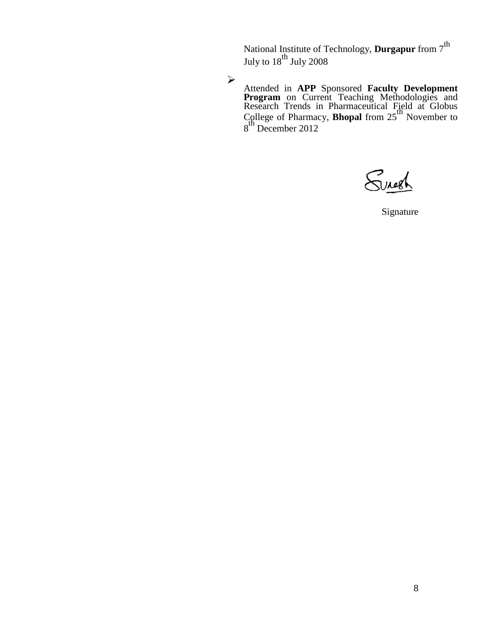National Institute of Technology, **Durgapur** from  $7^{\text{th}}$ July to  $18^{\rm th}$  July 2008

 $\blacktriangleright$ 

Attended in **APP** Sponsored **Faculty Development Program** on Current Teaching Methodologies and Research Trends in Pharmaceutical Field at Globus College of Pharmacy, **Bhopal** from 25th November to 8<sup>th</sup> December 2012

Suresh

Signature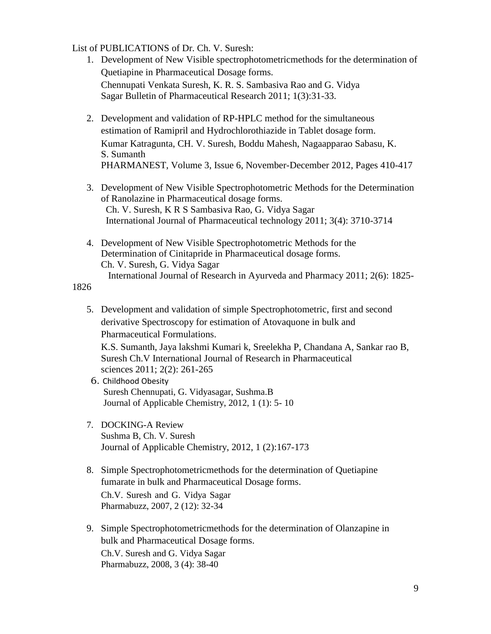List of PUBLICATIONS of Dr. Ch. V. Suresh:

- 1. Development of New Visible spectrophotometricmethods for the determination of Quetiapine in Pharmaceutical Dosage forms. Chennupati Venkata Suresh, K. R. S. Sambasiva Rao and G. Vidya Sagar Bulletin of Pharmaceutical Research 2011; 1(3):31-33.
- 2. Development and validation of RP-HPLC method for the simultaneous estimation of Ramipril and Hydrochlorothiazide in Tablet dosage form. Kumar Katragunta, CH. V. Suresh, Boddu Mahesh, Nagaapparao Sabasu, K. S. Sumanth PHARMANEST, Volume 3, Issue 6, November-December 2012, Pages 410-417
- 3. Development of New Visible Spectrophotometric Methods for the Determination of Ranolazine in Pharmaceutical dosage forms. Ch. V. Suresh, K R S Sambasiva Rao, G. Vidya Sagar International Journal of Pharmaceutical technology 2011; 3(4): 3710-3714
- 4. Development of New Visible Spectrophotometric Methods for the Determination of Cinitapride in Pharmaceutical dosage forms. Ch. V. Suresh, G. Vidya Sagar International Journal of Research in Ayurveda and Pharmacy 2011; 2(6): 1825-

1826

5. Development and validation of simple Spectrophotometric, first and second derivative Spectroscopy for estimation of Atovaquone in bulk and Pharmaceutical Formulations.

K.S. Sumanth, Jaya lakshmi Kumari k, Sreelekha P, Chandana A, Sankar rao B, Suresh Ch.V International Journal of Research in Pharmaceutical sciences 2011; 2(2): 261-265

- 6. Childhood Obesity Suresh Chennupati, G. Vidyasagar, Sushma.B Journal of Applicable Chemistry, 2012, 1 (1): 5- 10
- 7. DOCKING-A Review Sushma B, Ch. V. Suresh Journal of Applicable Chemistry, 2012, 1 (2):167-173
- 8. Simple Spectrophotometricmethods for the determination of Quetiapine fumarate in bulk and Pharmaceutical Dosage forms. Ch.V. Suresh and G. Vidya Sagar Pharmabuzz, 2007, 2 (12): 32-34
- 9. Simple Spectrophotometricmethods for the determination of Olanzapine in bulk and Pharmaceutical Dosage forms. Ch.V. Suresh and G. Vidya Sagar

Pharmabuzz, 2008, 3 (4): 38-40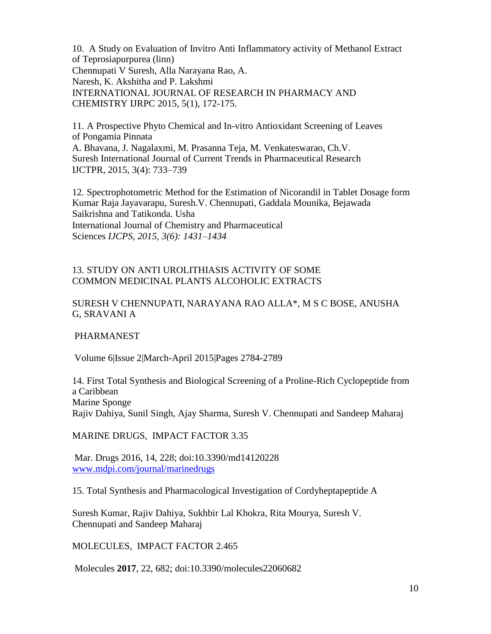10. A Study on Evaluation of Invitro Anti Inflammatory activity of Methanol Extract of Teprosiapurpurea (linn) Chennupati V Suresh, Alla Narayana Rao, A. Naresh, K. Akshitha and P. Lakshmi INTERNATIONAL JOURNAL OF RESEARCH IN PHARMACY AND CHEMISTRY IJRPC 2015, 5(1), 172-175.

11. A Prospective Phyto Chemical and In-vitro Antioxidant Screening of Leaves of Pongamia Pinnata A. Bhavana, J. Nagalaxmi, M. Prasanna Teja, M. Venkateswarao, Ch.V. Suresh International Journal of Current Trends in Pharmaceutical Research IJCTPR, 2015, 3(4): 733–739

12. Spectrophotometric Method for the Estimation of Nicorandil in Tablet Dosage form Kumar Raja Jayavarapu, Suresh.V. Chennupati, Gaddala Mounika, Bejawada Saikrishna and Tatikonda. Usha International Journal of Chemistry and Pharmaceutical Sciences *IJCPS, 2015, 3(6): 1431–1434*

### 13. STUDY ON ANTI UROLITHIASIS ACTIVITY OF SOME COMMON MEDICINAL PLANTS ALCOHOLIC EXTRACTS

### SURESH V CHENNUPATI, NARAYANA RAO ALLA\*, M S C BOSE, ANUSHA G, SRAVANI A

PHARMANEST

Volume 6|Issue 2|March-April 2015|Pages 2784-2789

14. First Total Synthesis and Biological Screening of a Proline-Rich Cyclopeptide from a Caribbean Marine Sponge Rajiv Dahiya, Sunil Singh, Ajay Sharma, Suresh V. Chennupati and Sandeep Maharaj

MARINE DRUGS, IMPACT FACTOR 3.35

Mar. Drugs 2016, 14, 228; doi:10.3390/md14120228 [www.mdpi.com/journal/marinedrugs](http://www.mdpi.com/journal/marinedrugs)

15. Total Synthesis and Pharmacological Investigation of Cordyheptapeptide A

Suresh Kumar, Rajiv Dahiya, Sukhbir Lal Khokra, Rita Mourya, Suresh V. Chennupati and Sandeep Maharaj

MOLECULES, IMPACT FACTOR 2.465

Molecules **2017**, 22, 682; doi:10.3390/molecules22060682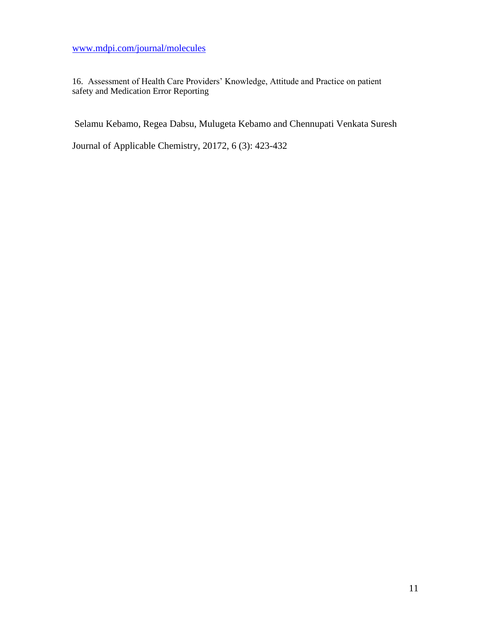[www.mdpi.com/journal/molecules](http://www.mdpi.com/journal/molecules)

16. Assessment of Health Care Providers' Knowledge, Attitude and Practice on patient safety and Medication Error Reporting

Selamu Kebamo, Regea Dabsu, Mulugeta Kebamo and Chennupati Venkata Suresh

Journal of Applicable Chemistry, 20172, 6 (3): 423-432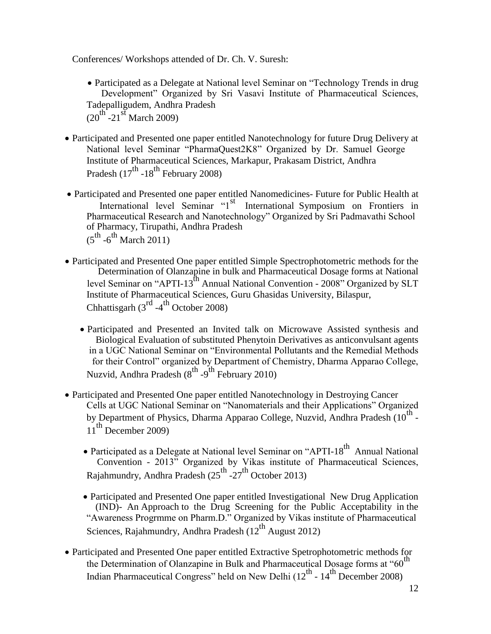Conferences/ Workshops attended of Dr. Ch. V. Suresh:

- Participated as a Delegate at National level Seminar on "Technology Trends in drug Development" Organized by Sri Vasavi Institute of Pharmaceutical Sciences, Tadepalligudem, Andhra Pradesh  $(20^{th} - 21^{st}$  March 2009)
- Participated and Presented one paper entitled Nanotechnology for future Drug Delivery at National level Seminar "PharmaQuest2K8" Organized by Dr. Samuel George Institute of Pharmaceutical Sciences, Markapur, Prakasam District, Andhra Pradesh  $(17^{th}$  -18<sup>th</sup> February 2008)
- Participated and Presented one paper entitled Nanomedicines- Future for Public Health at International level Seminar "1<sup>st</sup> International Symposium on Frontiers in Pharmaceutical Research and Nanotechnology" Organized by Sri Padmavathi School of Pharmacy, Tirupathi, Andhra Pradesh  $(5^{\text{th}} -6^{\text{th}})$  March 2011)
- Participated and Presented One paper entitled Simple Spectrophotometric methods for the Determination of Olanzapine in bulk and Pharmaceutical Dosage forms at National level Seminar on "APTI-13<sup>th</sup> Annual National Convention - 2008" Organized by SLT Institute of Pharmaceutical Sciences, Guru Ghasidas University, Bilaspur, Chhattisgarh  $(3^{rd} -4^{th}$  October 2008)
	- Participated and Presented an Invited talk on Microwave Assisted synthesis and Biological Evaluation of substituted Phenytoin Derivatives as anticonvulsant agents in a UGC National Seminar on "Environmental Pollutants and the Remedial Methods for their Control" organized by Department of Chemistry, Dharma Apparao College, Nuzvid, Andhra Pradesh (8<sup>th</sup> -9<sup>th</sup> February 2010)
- Participated and Presented One paper entitled Nanotechnology in Destroying Cancer Cells at UGC National Seminar on "Nanomaterials and their Applications" Organized by Department of Physics, Dharma Apparao College, Nuzvid, Andhra Pradesh (10 $^{\text{th}}$  - $11<sup>th</sup>$  December 2009)
	- Participated as a Delegate at National level Seminar on "APTI-18<sup>th</sup> Annual National Convention - 2013" Organized by Vikas institute of Pharmaceutical Sciences, Rajahmundry, Andhra Pradesh  $(25^{th}$  -27<sup>th</sup> October 2013)
	- Participated and Presented One paper entitled Investigational New Drug Application (IND)- An Approach to the Drug Screening for the Public Acceptability in the "Awareness Progrmme on Pharm.D." Organized by Vikas institute of Pharmaceutical Sciences, Rajahmundry, Andhra Pradesh  $(12^{th}$  August 2012)
- Participated and Presented One paper entitled Extractive Spetrophotometric methods for the Determination of Olanzapine in Bulk and Pharmaceutical Dosage forms at "60<sup>th</sup> Indian Pharmaceutical Congress" held on New Delhi ( $12<sup>th</sup>$  -  $14<sup>th</sup>$  December 2008)